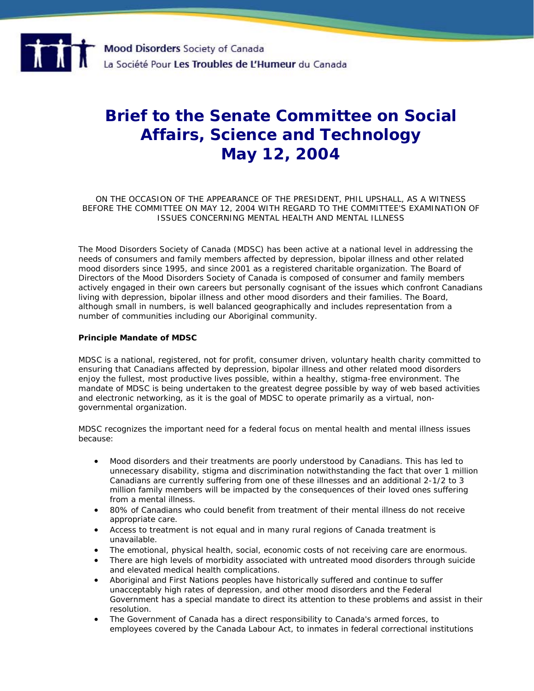

# **Brief to the Senate Committee on Social Affairs, Science and Technology May 12, 2004**

# ON THE OCCASION OF THE APPEARANCE OF THE PRESIDENT, PHIL UPSHALL, AS A WITNESS BEFORE THE COMMITTEE ON MAY 12, 2004 WITH REGARD TO THE COMMITTEE'S EXAMINATION OF ISSUES CONCERNING MENTAL HEALTH AND MENTAL ILLNESS

The Mood Disorders Society of Canada (MDSC) has been active at a national level in addressing the needs of consumers and family members affected by depression, bipolar illness and other related mood disorders since 1995, and since 2001 as a registered charitable organization. The Board of Directors of the Mood Disorders Society of Canada is composed of consumer and family members actively engaged in their own careers but personally cognisant of the issues which confront Canadians living with depression, bipolar illness and other mood disorders and their families. The Board, although small in numbers, is well balanced geographically and includes representation from a number of communities including our Aboriginal community.

## **Principle Mandate of MDSC**

MDSC is a national, registered, not for profit, consumer driven, voluntary health charity committed to ensuring that Canadians affected by depression, bipolar illness and other related mood disorders enjoy the fullest, most productive lives possible, within a healthy, stigma-free environment. The mandate of MDSC is being undertaken to the greatest degree possible by way of web based activities and electronic networking, as it is the goal of MDSC to operate primarily as a virtual, nongovernmental organization.

MDSC recognizes the important need for a federal focus on mental health and mental illness issues because:

- Mood disorders and their treatments are poorly understood by Canadians. This has led to unnecessary disability, stigma and discrimination notwithstanding the fact that over 1 million Canadians are currently suffering from one of these illnesses and an additional 2-1/2 to 3 million family members will be impacted by the consequences of their loved ones suffering from a mental illness.
- 80% of Canadians who could benefit from treatment of their mental illness do not receive appropriate care.
- Access to treatment is not equal and in many rural regions of Canada treatment is unavailable.
- The emotional, physical health, social, economic costs of not receiving care are enormous.
- There are high levels of morbidity associated with untreated mood disorders through suicide and elevated medical health complications.
- Aboriginal and First Nations peoples have historically suffered and continue to suffer unacceptably high rates of depression, and other mood disorders and the Federal Government has a special mandate to direct its attention to these problems and assist in their resolution.
- The Government of Canada has a direct responsibility to Canada's armed forces, to employees covered by the Canada Labour Act, to inmates in federal correctional institutions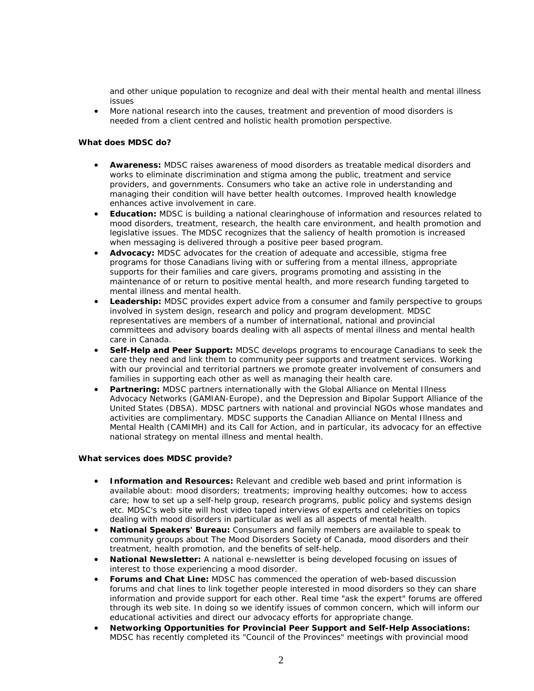and other unique population to recognize and deal with their mental health and mental illness issues

• More national research into the causes, treatment and prevention of mood disorders is needed from a client centred and holistic health promotion perspective.

# **What does MDSC do?**

- **Awareness:** MDSC raises awareness of mood disorders as treatable medical disorders and works to eliminate discrimination and stigma among the public, treatment and service providers, and governments. Consumers who take an active role in understanding and managing their condition will have better health outcomes. Improved health knowledge enhances active involvement in care.
- **Education:** MDSC is building a national clearinghouse of information and resources related to mood disorders, treatment, research, the health care environment, and health promotion and legislative issues. The MDSC recognizes that the saliency of health promotion is increased when messaging is delivered through a positive peer based program.
- **Advocacy:** MDSC advocates for the creation of adequate and accessible, stigma free programs for those Canadians living with or suffering from a mental illness, appropriate supports for their families and care givers, programs promoting and assisting in the maintenance of or return to positive mental health, and more research funding targeted to mental illness and mental health.
- **Leadership:** MDSC provides expert advice from a consumer and family perspective to groups involved in system design, research and policy and program development. MDSC representatives are members of a number of international, national and provincial committees and advisory boards dealing with all aspects of mental illness and mental health care in Canada.
- **Self-Help and Peer Support:** MDSC develops programs to encourage Canadians to seek the care they need and link them to community peer supports and treatment services. Working with our provincial and territorial partners we promote greater involvement of consumers and families in supporting each other as well as managing their health care.
- **Partnering:** MDSC partners internationally with the Global Alliance on Mental Illness Advocacy Networks (GAMIAN-Europe), and the Depression and Bipolar Support Alliance of the United States (DBSA). MDSC partners with national and provincial NGOs whose mandates and activities are complimentary. MDSC supports the Canadian Alliance on Mental Illness and Mental Health (CAMIMH) and its Call for Action, and in particular, its advocacy for an effective national strategy on mental illness and mental health.

#### **What services does MDSC provide?**

- **Information and Resources:** Relevant and credible web based and print information is available about: mood disorders; treatments; improving healthy outcomes; how to access care; how to set up a self-help group, research programs, public policy and systems design etc. MDSC's web site will host video taped interviews of experts and celebrities on topics dealing with mood disorders in particular as well as all aspects of mental health.
- **National Speakers' Bureau:** Consumers and family members are available to speak to community groups about The Mood Disorders Society of Canada, mood disorders and their treatment, health promotion, and the benefits of self-help.
- **National Newsletter:** A national e-newsletter is being developed focusing on issues of interest to those experiencing a mood disorder.
- **Forums and Chat Line:** MDSC has commenced the operation of web-based discussion forums and chat lines to link together people interested in mood disorders so they can share information and provide support for each other. Real time "ask the expert" forums are offered through its web site. In doing so we identify issues of common concern, which will inform our educational activities and direct our advocacy efforts for appropriate change.
- **Networking Opportunities for Provincial Peer Support and Self-Help Associations:** MDSC has recently completed its "Council of the Provinces" meetings with provincial mood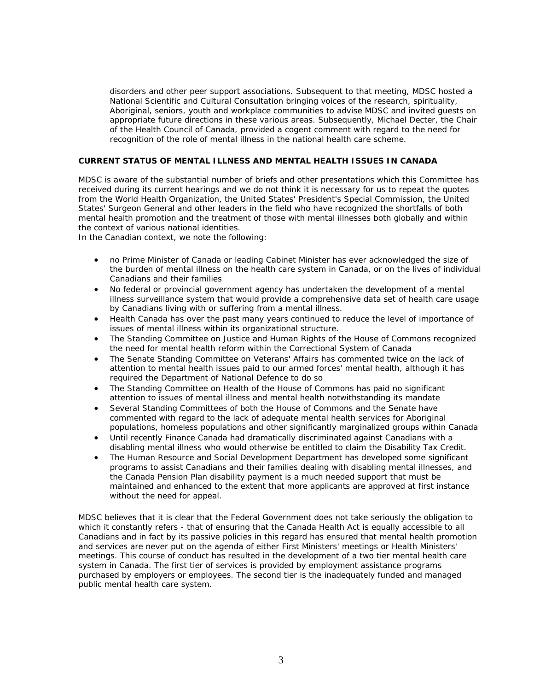disorders and other peer support associations. Subsequent to that meeting, MDSC hosted a National Scientific and Cultural Consultation bringing voices of the research, spirituality, Aboriginal, seniors, youth and workplace communities to advise MDSC and invited guests on appropriate future directions in these various areas. Subsequently, Michael Decter, the Chair of the Health Council of Canada, provided a cogent comment with regard to the need for recognition of the role of mental illness in the national health care scheme.

## **CURRENT STATUS OF MENTAL ILLNESS AND MENTAL HEALTH ISSUES IN CANADA**

MDSC is aware of the substantial number of briefs and other presentations which this Committee has received during its current hearings and we do not think it is necessary for us to repeat the quotes from the World Health Organization, the United States' President's Special Commission, the United States' Surgeon General and other leaders in the field who have recognized the shortfalls of both mental health promotion and the treatment of those with mental illnesses both globally and within the context of various national identities.

In the Canadian context, we note the following:

- no Prime Minister of Canada or leading Cabinet Minister has ever acknowledged the size of the burden of mental illness on the health care system in Canada, or on the lives of individual Canadians and their families
- No federal or provincial government agency has undertaken the development of a mental illness surveillance system that would provide a comprehensive data set of health care usage by Canadians living with or suffering from a mental illness.
- Health Canada has over the past many years continued to reduce the level of importance of issues of mental illness within its organizational structure.
- The Standing Committee on Justice and Human Rights of the House of Commons recognized the need for mental health reform within the Correctional System of Canada
- The Senate Standing Committee on Veterans' Affairs has commented twice on the lack of attention to mental health issues paid to our armed forces' mental health, although it has required the Department of National Defence to do so
- The Standing Committee on Health of the House of Commons has paid no significant attention to issues of mental illness and mental health notwithstanding its mandate
- Several Standing Committees of both the House of Commons and the Senate have commented with regard to the lack of adequate mental health services for Aboriginal populations, homeless populations and other significantly marginalized groups within Canada
- Until recently Finance Canada had dramatically discriminated against Canadians with a disabling mental illness who would otherwise be entitled to claim the Disability Tax Credit.
- The Human Resource and Social Development Department has developed some significant programs to assist Canadians and their families dealing with disabling mental illnesses, and the Canada Pension Plan disability payment is a much needed support that must be maintained and enhanced to the extent that more applicants are approved at first instance without the need for appeal.

MDSC believes that it is clear that the Federal Government does not take seriously the obligation to which it constantly refers - that of ensuring that the Canada Health Act is equally accessible to all Canadians and in fact by its passive policies in this regard has ensured that mental health promotion and services are never put on the agenda of either First Ministers' meetings or Health Ministers' meetings. This course of conduct has resulted in the development of a two tier mental health care system in Canada. The first tier of services is provided by employment assistance programs purchased by employers or employees. The second tier is the inadequately funded and managed public mental health care system.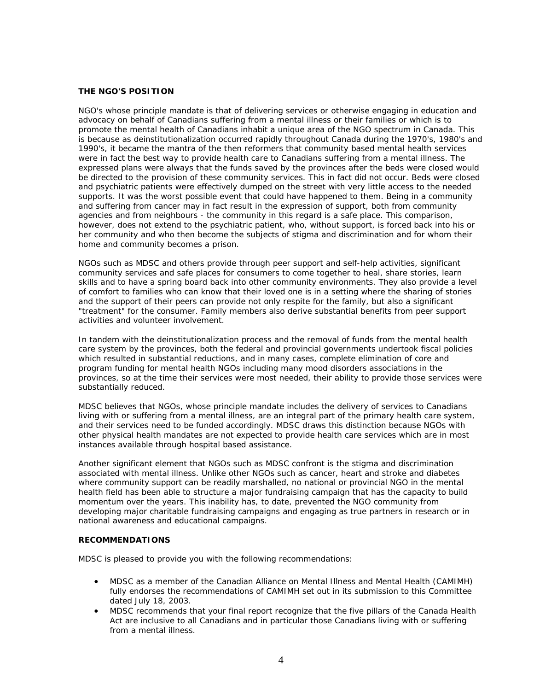# **THE NGO'S POSITION**

NGO's whose principle mandate is that of delivering services or otherwise engaging in education and advocacy on behalf of Canadians suffering from a mental illness or their families or which is to promote the mental health of Canadians inhabit a unique area of the NGO spectrum in Canada. This is because as deinstitutionalization occurred rapidly throughout Canada during the 1970's, 1980's and 1990's, it became the mantra of the then reformers that community based mental health services were in fact the best way to provide health care to Canadians suffering from a mental illness. The expressed plans were always that the funds saved by the provinces after the beds were closed would be directed to the provision of these community services. This in fact did not occur. Beds were closed and psychiatric patients were effectively dumped on the street with very little access to the needed supports. It was the worst possible event that could have happened to them. Being in a community and suffering from cancer may in fact result in the expression of support, both from community agencies and from neighbours - the community in this regard is a safe place. This comparison, however, does not extend to the psychiatric patient, who, without support, is forced back into his or her community and who then become the subjects of stigma and discrimination and for whom their home and community becomes a prison.

NGOs such as MDSC and others provide through peer support and self-help activities, significant community services and safe places for consumers to come together to heal, share stories, learn skills and to have a spring board back into other community environments. They also provide a level of comfort to families who can know that their loved one is in a setting where the sharing of stories and the support of their peers can provide not only respite for the family, but also a significant "treatment" for the consumer. Family members also derive substantial benefits from peer support activities and volunteer involvement.

In tandem with the deinstitutionalization process and the removal of funds from the mental health care system by the provinces, both the federal and provincial governments undertook fiscal policies which resulted in substantial reductions, and in many cases, complete elimination of core and program funding for mental health NGOs including many mood disorders associations in the provinces, so at the time their services were most needed, their ability to provide those services were substantially reduced.

MDSC believes that NGOs, whose principle mandate includes the delivery of services to Canadians living with or suffering from a mental illness, are an integral part of the primary health care system, and their services need to be funded accordingly. MDSC draws this distinction because NGOs with other physical health mandates are not expected to provide health care services which are in most instances available through hospital based assistance.

Another significant element that NGOs such as MDSC confront is the stigma and discrimination associated with mental illness. Unlike other NGOs such as cancer, heart and stroke and diabetes where community support can be readily marshalled, no national or provincial NGO in the mental health field has been able to structure a major fundraising campaign that has the capacity to build momentum over the years. This inability has, to date, prevented the NGO community from developing major charitable fundraising campaigns and engaging as true partners in research or in national awareness and educational campaigns.

### **RECOMMENDATIONS**

MDSC is pleased to provide you with the following recommendations:

- MDSC as a member of the Canadian Alliance on Mental Illness and Mental Health (CAMIMH) fully endorses the recommendations of CAMIMH set out in its submission to this Committee dated July 18, 2003.
- MDSC recommends that your final report recognize that the five pillars of the Canada Health Act are inclusive to all Canadians and in particular those Canadians living with or suffering from a mental illness.